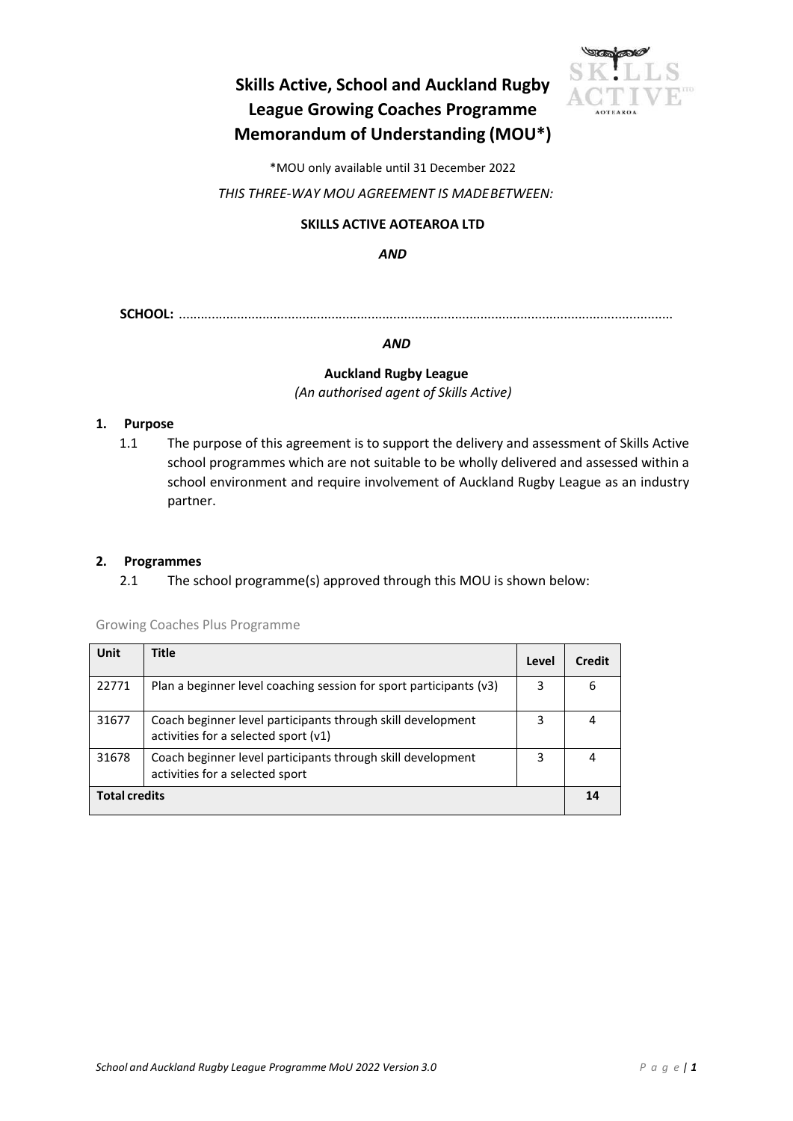# **Skills Active, School and Auckland Rugby League Growing Coaches Programme Memorandum of Understanding (MOU\*)**



\*MOU only available until 31 December 2022

*THIS THREE‐WAY MOU AGREEMENT IS MADEBETWEEN:*

# **SKILLS ACTIVE AOTEAROA LTD**

*AND*

**SCHOOL:** ........................................................................................................................................

*AND*

#### **Auckland Rugby League**

*(An authorised agent of Skills Active)*

#### **1. Purpose**

1.1 The purpose of this agreement is to support the delivery and assessment of Skills Active school programmes which are not suitable to be wholly delivered and assessed within a school environment and require involvement of Auckland Rugby League as an industry partner.

## **2. Programmes**

2.1 The school programme(s) approved through this MOU is shown below:

Growing Coaches Plus Programme

| <b>Unit</b>          | <b>Title</b>                                                                                          | Level | Credit |
|----------------------|-------------------------------------------------------------------------------------------------------|-------|--------|
| 22771                | Plan a beginner level coaching session for sport participants (v3)                                    | 3     | 6      |
| 31677                | Coach beginner level participants through skill development<br>activities for a selected sport $(v1)$ | 3     | 4      |
| 31678                | Coach beginner level participants through skill development<br>activities for a selected sport        | 3     | 4      |
| <b>Total credits</b> |                                                                                                       |       |        |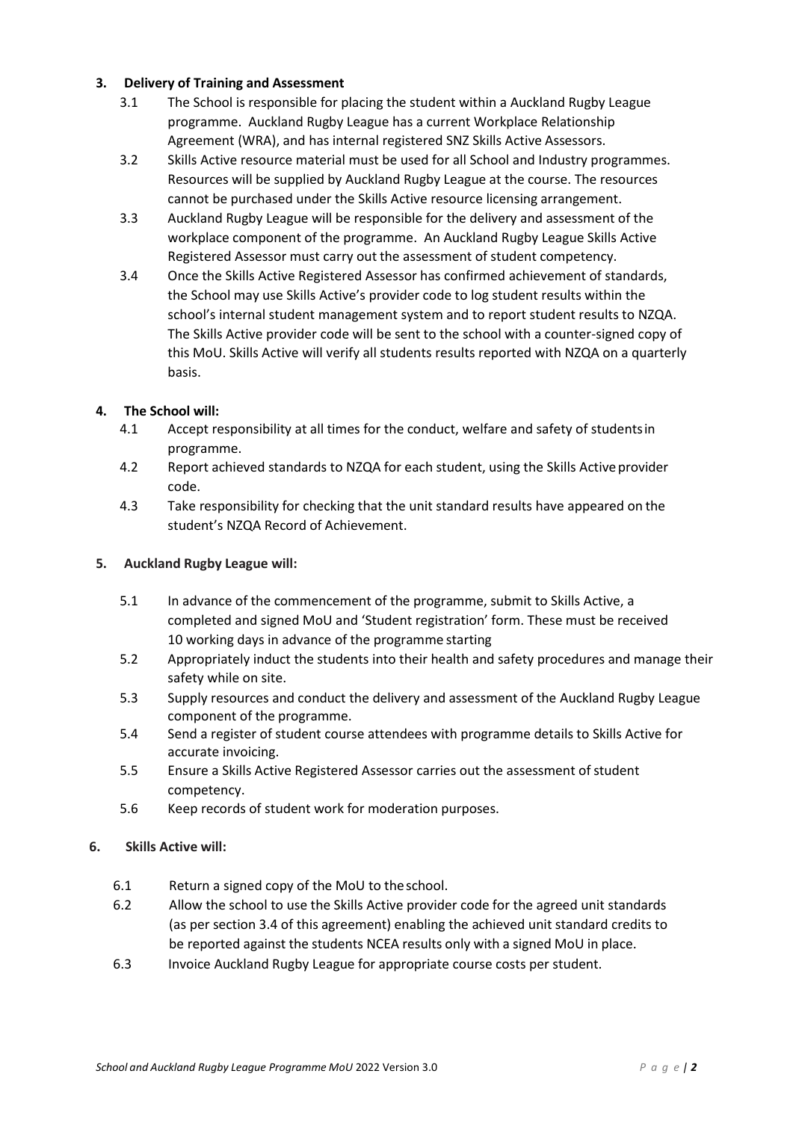#### **3. Delivery of Training and Assessment**

- 3.1 The School is responsible for placing the student within a Auckland Rugby League programme. Auckland Rugby League has a current Workplace Relationship Agreement (WRA), and has internal registered SNZ Skills Active Assessors.
- 3.2 Skills Active resource material must be used for all School and Industry programmes. Resources will be supplied by Auckland Rugby League at the course. The resources cannot be purchased under the Skills Active resource licensing arrangement.
- 3.3 Auckland Rugby League will be responsible for the delivery and assessment of the workplace component of the programme. An Auckland Rugby League Skills Active Registered Assessor must carry out the assessment of student competency.
- 3.4 Once the Skills Active Registered Assessor has confirmed achievement of standards, the School may use Skills Active's provider code to log student results within the school's internal student management system and to report student results to NZQA. The Skills Active provider code will be sent to the school with a counter‐signed copy of this MoU. Skills Active will verify all students results reported with NZQA on a quarterly basis.

# **4. The School will:**

- 4.1 Accept responsibility at all times for the conduct, welfare and safety of studentsin programme.
- 4.2 Report achieved standards to NZQA for each student, using the Skills Active provider code.
- 4.3 Take responsibility for checking that the unit standard results have appeared on the student's NZQA Record of Achievement.

#### **5. Auckland Rugby League will:**

- 5.1 In advance of the commencement of the programme, submit to Skills Active, a completed and signed MoU and 'Student registration' form. These must be received 10 working days in advance of the programme starting
- 5.2 Appropriately induct the students into their health and safety procedures and manage their safety while on site.
- 5.3 Supply resources and conduct the delivery and assessment of the Auckland Rugby League component of the programme.
- 5.4 Send a register of student course attendees with programme details to Skills Active for accurate invoicing.
- 5.5 Ensure a Skills Active Registered Assessor carries out the assessment of student competency.
- 5.6 Keep records of student work for moderation purposes.

#### **6. Skills Active will:**

- 6.1 Return a signed copy of the MoU to theschool.
- 6.2 Allow the school to use the Skills Active provider code for the agreed unit standards (as per section 3.4 of this agreement) enabling the achieved unit standard credits to be reported against the students NCEA results only with a signed MoU in place.
- 6.3 Invoice Auckland Rugby League for appropriate course costs per student.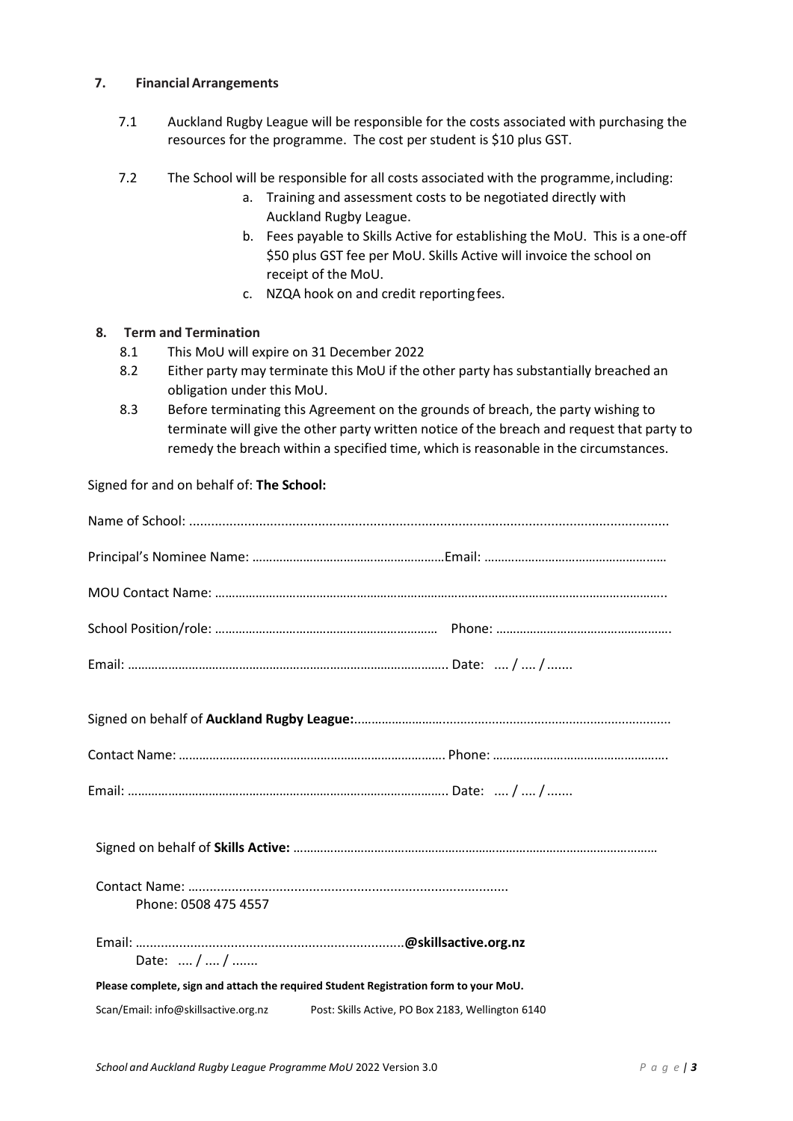#### **7. FinancialArrangements**

- 7.1 Auckland Rugby League will be responsible for the costs associated with purchasing the resources for the programme. The cost per student is \$10 plus GST.
- 7.2 The School will be responsible for all costs associated with the programme,including:
	- a. Training and assessment costs to be negotiated directly with Auckland Rugby League.
	- b. Fees payable to Skills Active for establishing the MoU. This is a one‐off \$50 plus GST fee per MoU. Skills Active will invoice the school on receipt of the MoU.
	- c. NZQA hook on and credit reportingfees.

#### **8. Term and Termination**

- 8.1 This MoU will expire on 31 December 2022
- 8.2 Either party may terminate this MoU if the other party has substantially breached an obligation under this MoU.
- 8.3 Before terminating this Agreement on the grounds of breach, the party wishing to terminate will give the other party written notice of the breach and request that party to remedy the breach within a specified time, which is reasonable in the circumstances.

Signed for and on behalf of: **The School:** 

| Phone: 0508 475 4557                 |                                                                                      |  |  |  |  |
|--------------------------------------|--------------------------------------------------------------------------------------|--|--|--|--|
| Date:  /  /                          |                                                                                      |  |  |  |  |
|                                      | Please complete, sign and attach the required Student Registration form to your MoU. |  |  |  |  |
| Scan/Email: info@skillsactive.org.nz | Post: Skills Active, PO Box 2183, Wellington 6140                                    |  |  |  |  |